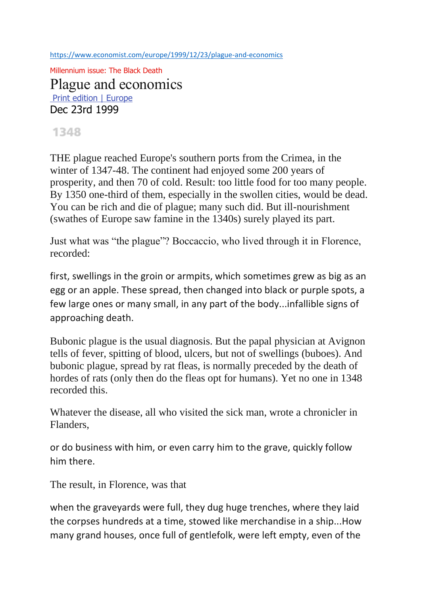<https://www.economist.com/europe/1999/12/23/plague-and-economics>

Millennium issue: The Black Death

Plague and economics [Print edition](https://www.economist.com/sections/europe) | Europe Dec 23rd 1999

## 1348

THE plague reached Europe's southern ports from the Crimea, in the winter of 1347-48. The continent had enjoyed some 200 years of prosperity, and then 70 of cold. Result: too little food for too many people. By 1350 one-third of them, especially in the swollen cities, would be dead. You can be rich and die of plague; many such did. But ill-nourishment (swathes of Europe saw famine in the 1340s) surely played its part.

Just what was "the plague"? Boccaccio, who lived through it in Florence, recorded:

first, swellings in the groin or armpits, which sometimes grew as big as an egg or an apple. These spread, then changed into black or purple spots, a few large ones or many small, in any part of the body...infallible signs of approaching death.

Bubonic plague is the usual diagnosis. But the papal physician at Avignon tells of fever, spitting of blood, ulcers, but not of swellings (buboes). And bubonic plague, spread by rat fleas, is normally preceded by the death of hordes of rats (only then do the fleas opt for humans). Yet no one in 1348 recorded this.

Whatever the disease, all who visited the sick man, wrote a chronicler in Flanders,

or do business with him, or even carry him to the grave, quickly follow him there.

The result, in Florence, was that

when the graveyards were full, they dug huge trenches, where they laid the corpses hundreds at a time, stowed like merchandise in a ship...How many grand houses, once full of gentlefolk, were left empty, even of the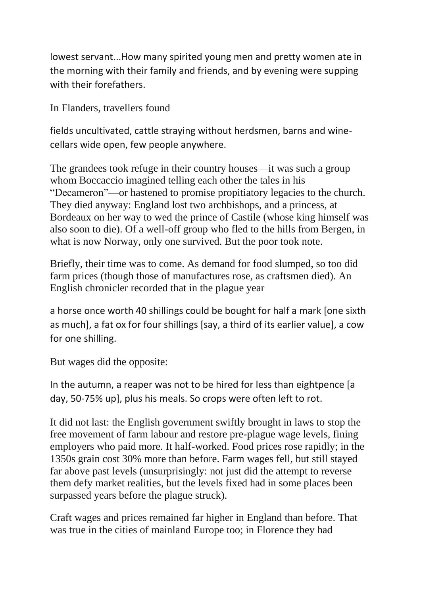lowest servant...How many spirited young men and pretty women ate in the morning with their family and friends, and by evening were supping with their forefathers.

In Flanders, travellers found

fields uncultivated, cattle straying without herdsmen, barns and winecellars wide open, few people anywhere.

The grandees took refuge in their country houses—it was such a group whom Boccaccio imagined telling each other the tales in his "Decameron"—or hastened to promise propitiatory legacies to the church. They died anyway: England lost two archbishops, and a princess, at Bordeaux on her way to wed the prince of Castile (whose king himself was also soon to die). Of a well-off group who fled to the hills from Bergen, in what is now Norway, only one survived. But the poor took note.

Briefly, their time was to come. As demand for food slumped, so too did farm prices (though those of manufactures rose, as craftsmen died). An English chronicler recorded that in the plague year

a horse once worth 40 shillings could be bought for half a mark [one sixth as much], a fat ox for four shillings [say, a third of its earlier value], a cow for one shilling.

But wages did the opposite:

In the autumn, a reaper was not to be hired for less than eightpence [a day, 50-75% up], plus his meals. So crops were often left to rot.

It did not last: the English government swiftly brought in laws to stop the free movement of farm labour and restore pre-plague wage levels, fining employers who paid more. It half-worked. Food prices rose rapidly; in the 1350s grain cost 30% more than before. Farm wages fell, but still stayed far above past levels (unsurprisingly: not just did the attempt to reverse them defy market realities, but the levels fixed had in some places been surpassed years before the plague struck).

Craft wages and prices remained far higher in England than before. That was true in the cities of mainland Europe too; in Florence they had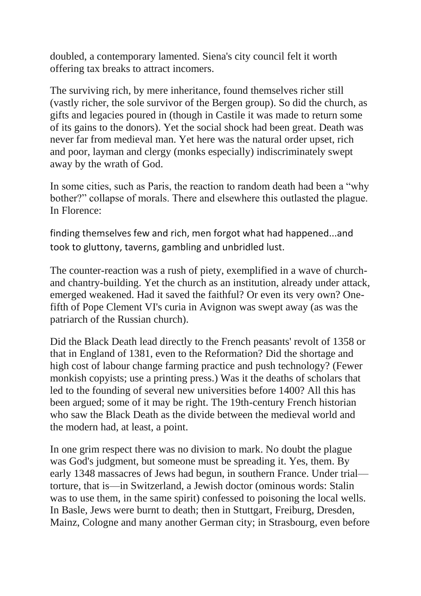doubled, a contemporary lamented. Siena's city council felt it worth offering tax breaks to attract incomers.

The surviving rich, by mere inheritance, found themselves richer still (vastly richer, the sole survivor of the Bergen group). So did the church, as gifts and legacies poured in (though in Castile it was made to return some of its gains to the donors). Yet the social shock had been great. Death was never far from medieval man. Yet here was the natural order upset, rich and poor, layman and clergy (monks especially) indiscriminately swept away by the wrath of God.

In some cities, such as Paris, the reaction to random death had been a "why bother?" collapse of morals. There and elsewhere this outlasted the plague. In Florence:

finding themselves few and rich, men forgot what had happened...and took to gluttony, taverns, gambling and unbridled lust.

The counter-reaction was a rush of piety, exemplified in a wave of churchand chantry-building. Yet the church as an institution, already under attack, emerged weakened. Had it saved the faithful? Or even its very own? Onefifth of Pope Clement VI's curia in Avignon was swept away (as was the patriarch of the Russian church).

Did the Black Death lead directly to the French peasants' revolt of 1358 or that in England of 1381, even to the Reformation? Did the shortage and high cost of labour change farming practice and push technology? (Fewer monkish copyists; use a printing press.) Was it the deaths of scholars that led to the founding of several new universities before 1400? All this has been argued; some of it may be right. The 19th-century French historian who saw the Black Death as the divide between the medieval world and the modern had, at least, a point.

In one grim respect there was no division to mark. No doubt the plague was God's judgment, but someone must be spreading it. Yes, them. By early 1348 massacres of Jews had begun, in southern France. Under trial torture, that is—in Switzerland, a Jewish doctor (ominous words: Stalin was to use them, in the same spirit) confessed to poisoning the local wells. In Basle, Jews were burnt to death; then in Stuttgart, Freiburg, Dresden, Mainz, Cologne and many another German city; in Strasbourg, even before